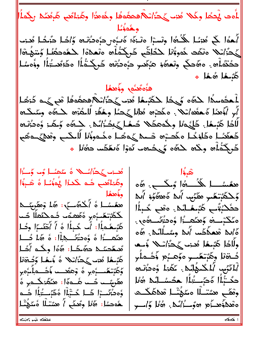لْمَصْ لِحَمَّا وِخَلا مُنْ كَحَزَّاتْكَا فَعَفْدَفَا وِخْدَهَٰزَا وِهَٰٓءَلَمَٰنِي كَرِمَٰدُكُمْ رِكْدَلُ وهُوَدُنُا أَهْمَا ﴾ هُنَّا ﴾ هُنَّا ﴾ هُمَا وسْرًا ونَـزَهُ! هُـزُه رُحزُه\$تَه وُاحًا حَزْمُـا هُـزب لْكِحَزَامْلا وتَعُد خُووْنًا لِكَمَاتُبِ كَرِجْتُمْلُو وتَعَدَّةَ لَكَعُدَهُمَا وَسَيَّدُوا حكُنَّهُ اه . ٥٥هُحكَّ وِلَعقَوْ عَزْهُم حَزْمَتْتُم كَمِكْتُمُاْ وَكَاتُعْتَبُاْ وَوَّومُنَا كَبْسُهْلُ شُهْلٌ \* فأوقشه وؤمهلا لَـْحَمَّـٰهِ مِـرِّ مِـنَ اهْمِعْمَعَةِ ٱلْحَرَّمِـٰ مَا مَعْنِهِمْ الْمَسْمَعُولَا مَنْ الْمَسْمَعْ أَبِنِ أَؤْهَدُا هُ هَقُداتِهِ . هَ كُدْرِهِ هُذَا الْمَحْمَدُ الْعَاءِ هَدَاهِ حَسَنُهُ وَسَمَدُهِ لَاطُ هَٰبُـهُا. كَايُـماْ وِكُـمِكَـلا صُـهُـا كِبِكُـزُاْمُـه. كــهُم وُـكَــز وُمحزَّتـه كَعَفَّصُـٰا مكَاوَحُـا مِكْسَبِرْ مَـٰـمكَمْ كَـٰـمِـهُــا مِنْـمِدْمَا لَـٰلَـــمِ وِثَعَظِيَــمَعَم أَهْدَى جَدَّابُكْلاً فَ مَنْهَنُداً وَمَا وَمِدَّا <u>هُ.ءُا</u> همُسُمِ الْمُحْسَنُ وَحَكَمَ بِهِ وَهُ وهَٰ;امَّعب خُـه لِكَعَاْلِ لِمَوْنُـلٍ هُ هَـرُوْا وؤهما وَلِلْكَبَّنَعْبِ هَنَّى أَبَا هُمْهُوَ: أَبَا هَهُسُلُ وَ أَحْدَهُـــــــنَ، وَلَمْ وَهِمْمِهِـــم حثَكَ;قُبِ هَبُعُصَلَكِكِ. ٥هَبِ كُبِلًا لَكْتُبْتَغْبِ;ْهِ وَمُحْمَدُ شُمطْتُمَلِّلاً شَب هَكْتَرْسِيهْ وُهِنَّصَـزُا وُوحِّزْنَسَــْهُوبِ. كَبُرِهُوااً: أَبِ كَبِداً فَ أَ أَتَتَبَدَأَ وَكَه كَالِكُ تَعْمَكُمُ اللهُ وِسُمِلَلَهُ . 60 هنّهـــرُّا وَ وَدِيّتُكُمْ الْمَالِيقَ وَهَا دُـــا ولَلطُ هَبْمُه هُذِبٍ حَيْدُ ُسْمًا وَسَعَدَ مُعطَّحِمًد حَوَّحَا: 6َ1ْ وَحَد أَحَا كُــةْنَا وكَبُنّفُـــرِ هَوُهــرُمْ وُّڪُــملُر كَبُرِهَا مُدْبِ حَيْدُاتُكَ ۚ وَ وَحَصَّا وَحُــةَ لَهُمْ الْمُسَامَّةِ وَالْمُسَامَّةِ مِنْ ٱلْمَرَّمِ ٱلْمَكْلُمَةِ. كَكَّوْلُمْ وُدْتُرُدُه وَكَبُنَّكَــــزُهرِ ۚ وَهمَكــــد وُّكُــــهلِّـزُهرِ حَكَـٰٓ;1ُأَ هُجَ ـَــَّ;1ُأَ ـهكَـسُــأَنَّهُ هُـُا هَمُومُ ــد هُـــدهُ |: هَنَهُ; كَــدِ وَ وۡودُٰٓئَـٰــٰٓٓٓٓٓ اٰ کَـٰٓٓٓٓٓٓٓٓ اٰ وَدَّہُــــٰٓٓٓٓٓہِۙۗا ۖ دَـَــو وْهَبْ مِسْتَالًا مِتْهُتْمَا تْعَاهَكْــْ هِ هَٰٓدمُا: هَٰلَا وِمَحْمَـٰ ﴾ مشتـٰلًا هُمَّكُتْـلَ ەقىدۇھىئەر بەۋسۇلىگە. بەگا كاسىر بحثائم تبرب والمناخ  $\mathbf{x}$ arté  $1$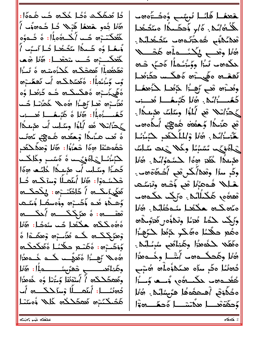دُا مُعطَّكُ، ذُكَّا مُكَّدٌ هُــه هُــه هُــهُ ا. هَٰلًا ثَمو هَعفهٔ قَرْبًا كُلَّ خُمُوهُ لَ لْقُطَنّْتِرْ هُــْ لَكْـْدُومْلَا: ۋَ ضُـُووُه ذُممُا وُه كَــداُا مَتَصَعُـا تُـا ٱــرَٰٮ ٱ كُفْكَسْتَرْهِ حُسْبَ مْحَقْسَاً: هَالْمَ هُمْ تَمَكَّتُهُمْ الْمُعَصَّدَ مَكَّدُّه مِنْدِهِ ۚ قَ تَسَرُّا وُب وَّـنُمَهِ!!: ةَكَسَّكْسُكْلُ أَب نُعَمَّــْرَه ەَفَيْ َ- رَه ەْڪسكىھ خُـە كَرْهْما وُه هُنَبِّ و هَــا مُعِيُّ المُعَمَّلُ لَهُمَّتِ الصَّـــا كَمُسَــزُه إِلَّا: هَٰلًا هُ هَُبُـمُـــل هُـــزم كَحَزَٰاتِكَ هُد اُبِلُوْا وِسَمَاتٍ أَبِّ هُدِيداًا ةُ مَّد هَنُمَا وْهِمَّدِهِ هُـهِ مَّهْدَ َّحْقُومُنْلُ هِ6ًا خْمُزُوُا: هَالْ وْهِدَكْكُمْ لكَمْنُهَاجَ لِمَادَّقِيَ مِنْ دَيْنَةٍ وَكَمَلَكَ مَا يَسْتَدَمَّ كَعِنَا وِمَامِ أَبِّ هُذِيباً لَمَائِمِهِ هِمَا خْصْبُدُوا: هَٰلا أَمَّعْكُلا وْمِبْرْجْدِهِ حُبار مَكَيْدَسُهِ أَكْلَّتْتَبْهِ وَلَاحَكْسُو وُهِـدُو هُـد وُكُنْـرْه ووُّەمىگىـل وُسُّـد تعلَّس ... : وَ مَؤَجَّكَ ... وَ أَحَكَ ... وَ ەُھەككە ھگەل ئە مەئدا: ھُل وْهِدُكْلُه كُلُّمْ هُزَٰتَ، وَهِهُدًا ةُ وُوْضَـرْه؛ ةُكْسُع حكْسُل ةُمُكْحكـُـه رُّهِ مِنْ الْأَمْلَامِينَ لَكُنْ وَالْمُؤْمِنَاتِ الْمُسْتَدَمَّةُ وهُهكَهُ لَمْ أَمُّتْمَثَّلَ وَخُبْدًا وَه هُوهُ ا دُهنُفُـــا: أُسُمـــلًا وْسِلَاحْــْـــه أُب كَصَكْتَتَةِ مُعَكَّلَكُمْ كَلِيلا وُمِسْتَا

ـقتفــا كَانُــا نُربَىـــ وُدكــتُوهـت لْكُلُّهُ/بُّدْ. هُ/بِ وُحصَّىدًا مِنْصُلُحا مْلا*كْلُ*وْم ھُەلْتُلُەھ *مْكُنىغْدانُ*لا. هُمُا وقب رَكْسُداه هَدْ لَا لِمَكُدُهُ أَمُنُ الْمُؤْشُدَاً الْأَصَلُ شَدَ تَعْقَدُهُ هَيْ آهُ هُ فَكَسَدٍ حَكَّنَهُمْ لِ ومُحِبُّوه هُبِ رُهِيُّوا جَرُّهُما حَزَّمَهُما كَمُسْأَامًا. هُلْا هُبْكْلْ هُشْمَا هُسْنَ لِّكِحَزَٰاتِيهِ هَي اُمَاؤُا وِمَامَد هؤمِلهَا. هَمْ هَٰٓ; هَٰهُ أَهْمَعُونَ هُمْ وَجِمْ أَسْلَمُوهَا مَّتْسْأَبْكُمْ. هُمُا وْالْمَلْكُمْ كَرْتْبْسَا ستالته صرتر لالم بالمنهشة سرزوةات مَثِرِعِلًا لَحُقَدِ وَوَٰٓ لِحَسَّوَٰٓ ٱمَّٰلٍ وَٰٓ ٱلْمَنَارِ وكِّرِ مِدًا وقَدْالُكُرِ هُمْ أُشُدَّةَةِهَمْ. ـمْـلِلا فُــهِ مُرْلًا مْبِ ذُنْـهِ وِنْسَٰـمِ تَعْتَقُونَ هَكْتُلَلِّكُمْ. هُزَبِّكْتَ حَكْتُوهَتْ ەڭھىكى ھىگىدا شەئىلگىلى. ھايا وَرَبِّكَ كَمَاءُ هُدْئًا وِلْكُؤُهْ هُدْؤُهُ وَكُلُّوهِ ەكْم حكْسُا ەھڭر مۇھا كرَّە أَ هَفَكَلا لِلْحُدُودُ وَهَٰزَلَمُعَنِي مُنْزِسًائِكَلِّ. هُمُا وهُحكُمُ وهِ أَمْتُها وخُمْعَةُ! دُهْنُا وَكَرِ سَأَهِ هِـمُكُمْؤُهَاهِ هُـبْب هُقُده مع مَلْمَدةُ مِنْ وَسَعْدِ وَسَنْزَا ەككۈنى أھىھگەگا ھېُبىُلىگ . %ئا وُحكَّة مَكَ لَا مَدَّسْكُ أَوْحَكَ وَوَّا

بحثاث بأن بتفايح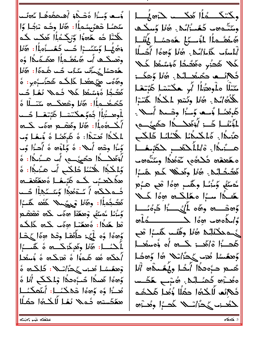وُّْسِعَهُ وَسُرًا ۚ ذَكَرُوْ ﴾ [فتحفُّوفُظ كَمِنَّت مَعْصَلِ دْهَرُمِيْدَهِ أَلِ: هَٰلِ وَهُد مْزَجُلٍ وَا لْمَلْتَا هُم لَهُ‰ا وَّرَحِّـهُ إِلَّا هُكَــٰ كُــُم ذَهُ إِلَى الْمُسَمَّرَ الْمُسَدُّدِينَ الْمُسَنَّدِينَ الْمُسَنَّدِينَ وثَعِسكَـد أُب هُـمُعْـُـدِ}ُا مِعْصَـدُدا وُه هُوَجِسًا ﴾ وَأَمْسَهُ مَا أَوْ مَا أَمْرَ الْمُحَامَّا ﴾ [الله عنه عنه الله عنه عنه من الله عنه عنه وِهَّەَ حَكَمِعُصَلِّ كَلِّكُ هَجَنُّ وَمِنْ هُ مُثَّبُدا ةُوْسُعُل كُلا شَملا نُعْل صَّد دَّهُمغُدُ وَأَنْ رَبِّهُما وَعْعِدْدُ مِّنْتَ الْمُ لْمُوهِـــُّذِلُمْ فَوَجَعِكْتُسْـــل كُبُتِهْــل كُـــب أبك وهُ وَإِذَا: وَلَا وَهُنْصُرِ وَهُ مَدْ حَكْمَتِهِ لْمُحْكُمُ أَ مُحْتَكَّاً: ۚ هُ مُجْمَعُـٰ ۚ وُ وُحِصًا وُبِ وَّيْزًا وِجْهِ أَمِلًا: هُ وَكِمْوْهِ هُ أَحِيَّا وَم أُوَكَّلاكُما حَقَّيْهِ مِنْ أَبَّ هَــزَّبِكُما: هُ وَلِمُكَذِّا كُنْتُا دُلِكُبِ أَبِ هِنْبِذًا: هُ ھكُلْمِيَّى لَّكُمْ هُبُيْضًا ةُھكُلْمَسُر ثَــمحكم /ّ ـُــتَمُعِمُّا وَسَــتَمِيلَا تَـــب هَدَمَهُما الْمَرْضُوبُوا وَاللَّهُمِ وَالْمُحَمَّدُ مِنْ الْمَحْمَدِينَ وَّخُبُّكُمْ شَمِّعُهُمْ مِنْ مَعْمَدٍ مِنْ مَنْ مَقْتَضَعِ قْطِ هَيْدًا: ةَهْهَدَا هِوَّى كَنْ كَانَكُمْ وُهِهُمْ وُهِ لَمْكِن حِلْقَطْ وِثْمٌ هِهُمْ حَكْمَ الْمَحْسَلَ لَمِكْسَا: هَٰلا وَهُدِكْزِكْتُ هُ هُسَـٰزُا أُحكُمَ هُم هُـموُو أَ هُوَحَـْمٍ ۚ وُسَعُـلِ وْهِمُسُا هُدْتِ حُدُّاسْلًا: كَالْحَدْهِ ۚ وَّدهُا هُسكًا صُبُّوحكًا وْلِمْكُلَّى ٱللَّا ةُ هُــُزْا وُه وُههُا شَمْكُـُــا: أَسْكَكُــا همَّكَسْسُه شُمْلا نُمُّا لَّالْكُلُّهُ! حَمُّلًا

وكتك هُلَمَ هَكَ وَالْمَحْسَنَةِ وَالْمَسْلَمِينَ ومَتَنْحِمِد كَمُسْأَلْكِمْ. هُلَا وَسِكْك لَّــٰمَٰلًا لِمُوَّـــِمِّـِ لِمُحَمَّــ لِلَّهُــا لْمَامِنَاتِ خَلَامًا مِّكُمْ أَيُّكُمْ . مُعَالِمٌ وَالْمَالَ الْمُصَلَّلَ كَلا هُدُو هَقَصُدُا هُوْسُعُدا كَلا ثَلاَنُـــه حَمَّمُـــأَمَــْ. شُلْ وَهَكَـــز مِّتْلًا هِلُوهِّيْلًا أَبِ هَكْتَسْا هَبْتَهَا لْحُدُّهُ/مُدْ. هُلا وَنَسْعِ لِمَكْدًا كَتَبْرَأ كَبِرْهُمْا ذُهِ وَسُزًا وَصْبِهِ أَسْلًا . لأَمُّلُه ضَـٰزَ أَوْهُكَــدًا حَمَّيْ وَ هَٰٓۥٓ؎ٗڵ؞ مَٰٓاۦلَّـٰہُۦۢڵ ۖ هَٰٓئَـٰا ۖ كَالْكُب هِ يُمالُ وْالْمُلْكُف, حْكَبْهُ ا مكعقه فُلْمُوهِ تَوْهُدًا وِسَنُوهِ كَتْصَحُلَكْكِ. هُلْل وَهُنْكُلا كُنْعْ بِمُنْدَل غُمِّنُهُ وَّـُزُّـُـا وِـمَّـُبِ هِوَٰا مَّـعِ هـَٰزِم كَفَسَكَمَا سَبَرًا مَكَمَلِكُ، وَهُمَا يَكْمَلا  $\sinh 2$ فَي عَمَلَهُمْ مَثْلُوا وَقَتَبَ لَمُسْرًا مَنْ كَحِسْرًا وْأَكْسَعْ بْحَسِهِ أَوْ ذُوسِعُمْ ا وُهِمُسْلِم مُدْبِ حَيْدُ اللَّهُ وَالْمُحْمَدِينَ وَالْمُسَلِّمَةِ هُصور حزَّەددًا أَمدًا وِيُعُمدُه أَنُّا ەھْبْ10 كَھنُــابُكا. ھُبْب كَكَــس ثَمْ لَا الْحُدُّا حِمُلًا وُمُعا هُجْشَه لحكبنا بحدَّةُ اسْمَلا لَمُصَرَّا وَمُحْتَرَه  $\mathbf{z}$ پروازی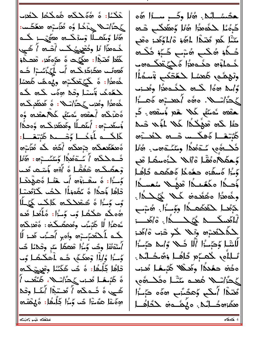ىْكْمُا: ۋَ *ۋەّْ*كْدە ھُەڭھُا كْعُزْب لَكَمُمَهُ مِهْشَانُهِمْ وَمَ الْمَهْرَمِ الْمَانُصِرْ هَٰنَا وُمِّئُكَّ أَوْسَأَنَكَ ۞ ۞ يَوْيَ ۖ ذَكَّ حٌدهَٰ;ا يُا وِحُقَدِي كُمِب أَصْـِرَه لَمْ كَصِبِي لَّكُعَلِّ مُحْتَدِّاً: مِحْكَىٰ = ةُ مَرَّەمُّن، مَحَــدَّو مُدەنَـــ محَزْحُدِحْـــ مِنْ الْمَيْنَمْـــْـــْ أَحْــــــه لَمْعَدَٰ; ۚ ݣَيْ يَعْكُبُورْ ۖ وِيَمْ هُ مَعْنَا لحَقَّمَكَ وَمُسْلَم وَثَمَّ وَهُمَا لَحْدِهِ لَحْدَ خُصفُوا ومُحزب حُ جَزَائِبِ : هُ مَحْضَرِ كَبِهِ هُهْبُدُه أَحْمَدَه شَمْئُع كَلَّا حَقْدِهِ وَه وُسكَدَّرْهِ : أَمَنُعَـلًا وِكُنكُنزنْكُــْهِ وُءِئِدًا كْلِكُـــه لمُفكّـــا وُحْــــمِي هُبْتُمْـــا:  $\delta$ م مَعَ مَعْدِها مِنْ مِنْ مِنْ مَعْ مَدَمْ ئُــمِــدْكُم / َـُــتَمُواْ إِمْسَنَدْ. وَالْمَا وْهِقْبِكْتُمْ هْفُقْهَا هُ أَالله وُشْبِعَدْ قُبْ ثَافُا وُحِدًا ۚ وَ *كَ*قُوو*ٰاً*ا ۖ حَصُّ كَآتُمْنَـا وُب وَّــٰٓ; هُ مُعْلَــٰدٌ مَا كَمَلِكُــٰبٍ كَمَيْــِلَٰلَمْ رُهُ مِكْمَا وَ ۖ وَ ۖ أَوْ اللَّهَ اللَّهُ وَ هُمْ اللَّهُ وَ اللَّهُ وَ اللَّهُ وَ اللَّهُ وَ اللّ مُعمَٰٓا لَا هَٰٓبُمُو ومُعصَّكَةٍ: هُمْدِكُلُو كُـه لمُكْتَعبَنِــرْه وأهبر أَحــزَب هَٰــز لَل |اُمْثَالُنَا| وحٌـد وِّـذُا أَهمَكُما مَّذٍ وِثْـدْمَا حُـد وَّــٰٓ; وَٰہٰلَا وَمِكَـٰهَہٖ شَـٰہ الْمَكَـٰعُـا وَ۔ تْلَافُا بَلَيْفَا: هُ مَّد هَكْنُمَا وَتَعِينَ كَلَّهُ ةُ هَبْعُم مُحتَّابِكُمْ مِنْ الْمُبْعَدُ أَمْسَانِيَّةٌ مِنْ الْمُحَمَّدُ الْمُحَمَّدُ الْمُحَمَّدِينَ هَــي هُ شَــمكَه /ّ مُسْـبْلَا أَسَّـا وقد روهُ عَلَى مَهْ عَزْلَ جَنُوا جُلُبِعَا: وَجَمْسُ

هصٌسُــانُـه. هُـُلْ وِكَـــرِ مــــأَلْ هُ٥ كَرِهُمُا لِلشَّمْرَٰا الْمُمُا وُمِعَدَّلَبٍ شَمَّ مَثْلَ لَمُع مُتَمَّا لِمَوْ وَالْمُؤْمَّدِ وَهَي كَــكُة شُكْب شُبْب كَــَبُّة ثُكّــته مُملَّوْهِ حَثَمَهْ أَمَكَ تَعْكُمُ مِنَ وتهشم هَعسًا لِمُحَتَّمَى وَْسِمَاً! وُملِهِ هِوَٰا لِّكُمْ لِكُمُعَمْزًا وِهُنَّ لِّكَنَّاتِكُ وَهُوَ الْمَعْدَرْهِ وَهَدَا هَكُلُهُ شَمَعُكُمْ لَمَكُلاً هُمْ وُسَقَلُهُ . كَمِ طَا كَه مَوْكُدًا كَلا لمَوْلا صَد كَبْتَهْا هُعِكْسَ شَبْهِ لِلْكُنْزَهِ ثَكْتُومٍ كَتَمْعُدًا وِسَكَتْمُوبٍ وَهُمُا وُهِكُلاً وَهُنَّا وَٱللهُ لِلزُّوسِكُمْ ثَبِي وْمُرَا هُمِيقَوْهِ حِمْقَهُا هُقِفُعِيفَ قُافُهَا ذَكَمَا مَكْمُسَمَّا شَيْئًا سُمِسَمًا وِجْمِعْنَا مِعْقُدِهِ كَمِلاً يُهْلِكُمَا. حَرَّهُما حَكَمُهُمِــدًا وَوَّــزًا. هُبْب أَمَاكَعْسَكْـــدْ كَتَابِكْـــدَانَ وْأَكْتَــــزْ لْمُلْكُمْبْرُهِ وْلَمْلَا لْمُدِ تْنَاتْ هْ/كُمْ; لَلَّتْسَا وَحَزَمَ ٱللَّهُ فَكُلاَّ وَإِنَّمَا حَزَمَةُ! ئَــلِلَمِ لِكَعِــَمِ كَلِعُــل وَهُـحُــلَنُـمْ. هدُه حمُداً ومَحـلًا مَّبَـمُـا مُدن حَذَّاتَ الْمُعْدِ مَتْنَا وَقُلْتُوهُ و أَهْتَمْا أَسْكَى وُهِكُنَّو هَهُ هَ حَزْسُوا هَهُ;هڪُلُمْ. ههُشُـه@ حَثَافُـا

بحثاث بأن بتفايح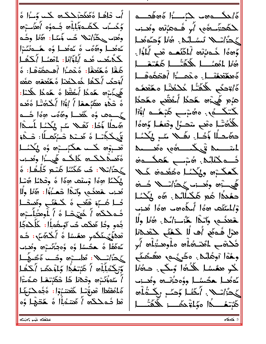أَبِ دَاهُا ةَهُكُتْزَجْكُمْ كُبِّ وَُــُرَا ةُ وَكَسَنُوا لَكُكُمُوتُهِابِلُهِ ۖ فَسَوْقٍ أَهْزَمِينَ هِ وهُذب بِكُنَّهُ لَهُمْ أَمَّدٌ وَمُمَّا: هَا وَهُمْ وَهُمْ كَمُعْطَرِ وَهُمُو ۚ يُمَعُطِ وَهِ هُـمُنْدَإِ لِكَمْكَنِبٍ هُنَ أَبْلَؤُانُا: لِمَعْشَلِ أَخْذَبُ لِ هُمْۤا هُمُّعُمْٓا: هُدْمُ;ُا ٱمْمِعُّةَقَا: هُ أُوْحِكُ أَخْذُهُلْ خُوجِكُمْلْ وُحُقُوْهُ وَهُو فَهِجْمْ، هَمَمُا أَحْقُدا هُ هَمَمُا لَحْمَا: هُ شَدْو مِكْبُِـمِمْلِ / إِزْاً /َـكْـرَٰهُ ـْـلِ هُمْــو كَمْ وَمَا كُعُمْ لِهِ وَهُمَّە وَهُوَا خُسْمَ هَٰىطاً وَٰحًا: نَفْحٌ سَّـ لِكُــُـا لَمُسَــأَا تَّىكُمُنْمَاهُ مَحْسَمَ شَسْرُكْمِمِلَا: شَــكُوْ تْعَبّْرُوهُ كُنْتَ هَكّْرُكْتُرْهُ وَْهِ وَكُنْتَ ا ةُهْسَمْلِكْتُه كَلِكُتْ فَهِيءُ وَهُتَدَب جْدَاْبْلا : حُـٰ هَكْتُنْا هُنْـم كَلُّبِفْـا: هُ يُكْتُلُ هِوَٰا وَسْتَعَبُّ هِوَٰا ۚ وَشَكَّلَ هُـْـَـلَّا هُدنٍ هَعِدُمٍ وَأَنَّمَا شَعَيْوَا: هَالَ وِلَا كُــا هُــبُّوْ قَعُبٍ ةُ كُـُـمُّلُبٍ وِكُسْتَــا ضَمككُم أَ خُصَيْصًا ةُ أَ أُوهتُكُمْ وَ ثِدو ودُا مُنكَم مُد ٱوُحِثُداً!: كَالَكوكَا تَعْدَفَيُهَنَّكُمْ مَعْسَا ةُ ٱلْحُمَّيِّ: شُه كَءَهُمُا ۚ هُ هكَـسُا وُه وُهجُنُكُــٰٓزِه وهُــٰزَٮ وَّزِيْكُمُلِلُه أَ هُبْتُمُمُّا وَلَمْوَحْهَا أَخْلَقُوا أَ مَعْوَٰنَيْرَه وِحْمْلَا كَا حْكَبْتِهْا هِـدُتْوَا كَاهُقْعُالْ هُدِوَّتْ الكَّعْنِتْ وَا : هُ فُمَكَّرَّجَةً ا هَا شَمككُم / مُنتَدُبِاً ۚ مُ هَٰتَكِياً وُه

كَاهِكُ وهو حَيْرِ أَنْ هُوهُ مِ للكُحتَن وهُ م اللّ اللَّه عَامَ إِنَّه اللَّهُ وَهُدَات حَدَّاسْلا تَسْلَلُط. هُمُا وَحِدَهُما أَوْرَهُ أَلْمُ الْمُحْتَمَّـ مَنْ الْمَوْلَ هُمُا اهُمْــــا لَكُفَّـُـــا هُمُتَمْـــا وَمَعْقَدِهُنَّا وَحْمَدُوا أَحْقَقُوقَا هُ/وَحِكُم لَهُقَتُلْ مُحْمَّثَلْ مِمْقَعْدَ هُرِم هَيْءَ۞ هَجَدُ ٱمْعُثَمِ مَعَجَدًا كَتْݣُمُو، هُوْشْبِ هَبْهُمْ وَإِذَا لْمُدُّشَا هِ مَعْ سَحِيُّلَ وِتَعِمَّا وُهِ وَا دەّىصلا ۆُڪل قىلا سَر نِكْسُل كمستضرف بره شكرنق كمستمل قُــەڭلاًكە. ھُمْرَــــى كَمھــُـــەن كمكثره ولكنا هففهفه كملا كُلْ أَنْهُ وَهُدَات كَكَّاتُكُمْ كُسْتُهُ حمُداً هُم هَكْىلَلْكُمْ. هُو كَكْسًا وْالْمَنَّفْ هَهَْ أَيْلَهُ مِنْ هَهُ أَخْذَب هْعِنُسِي وَٱنْݣَا هُنْسَالُهُ. 7⁄2 ولَا هزَا فُءهُم أَف لَا كُمُبُ كَعْدَالَ ثَكْشَبِ لمُعْنَـشُكُمْ مِلْوِهِـتُنِلُمِ أَبِ وِهُمْا ٱوِكُلُّكْ. ٥كُلُّيْهِ مِنْصَمَّعَ كُمْ هُمُسُلْ لَأَدُّا وُلِّي. دَهُّلْا كُوهُما هِدُسُا ووُودُتْــ وهُمْـزَب لِّحَزَّاتَ الْمَثَلُّلُّ وَحَسْرِ رِكْتُمَلُّرَهِ كَبْتُمُــــدًا وَدُنْدَهُـــــز لِلْكَثُـــــا

بحثاث بأن بتفايح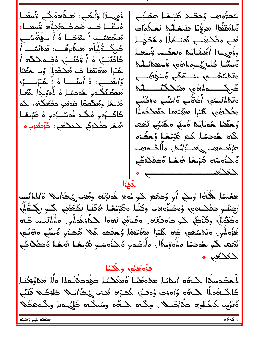وَّى الرَّاسُ الْمَصَاءِ: مُعطَّمِهِ مَكَن وَّسْعَدا سُحَبُوهِ ۖ وُحصْهُ هُبُتُمْا هَشُرَ ۖ ةُسْتُلْط كُتْبَ هُتْمِدُومُلِيلُوم وَمُتْعَطِ: كَٰلِمُتَّعَٰاا شَرِقُ ٓا صَٰلَهُـالَٰہٗ نَعِـدَٰہَٱت مُممَّعتَسَــــا أَ مَنْتَحْـــا ةُ أَ مَــوَٰتَّةً مِّـــــ مٓج ہوَكُدُھَٮ مُحتَــمُاَ) مَمَّحَمَّــا كَرِجْتُ شُلّْهُ هُدِيمُ رِهَت وَجَائِمُت لَا وؤْهِ بِمَا الْهُنْبَانُكُمْ هِ تَعْضُبْ وَّمِيْهَا كَاكْتُنَــِّيْ هُ أُ وَّكْتُــبَّى هُئَــمكْدُه أُ ەسلال كاملىك ۋەلمۇە ، ۋسعىداللە كَتْتَرَا مِلْهُنْفَقَا كُبِ مُحْدَّدِياً وَ حَمَّحُنَا مَسْتَمَّد مِكْسَنَّه مِصْمَّدَلَّهَا مِنْ مَسْتَمَ وَأَمَعْبٍ: هُ أَسنَّــا هُ أَ كَتَتَبِـــــِّي كُمِكًا عَلَمُهُم مَسْلَكْتُ لَهُمْ مُعصَّمَكُــمبر حَمَّحسُــا ةَ لِمُوَجِّدًا خَصَّــا ەلكلائىسە /كُشّى ەلسَّى ەۋكلى كَبُسْأَا ومُكَعِمَا هُءمُدٍ حَكَمُكُنَّهُ، كُم وَقُدْوُوسِ مُتَبَرَأَ مِلْهُ تَعْقَلَ حَقَدَ دَوَالًا كَاكَــزَەبِر ەْݣـە ذُەسّىـزْەب ەْ كَبُـطْـا وُهكَذَا هَمَالَكُمْ هَسَهِ مَكَنَّبَ لَثَقَفَ ھُطُ حثَكَرِكُم كَنُكْفِسِ: كَنْحَقُوبِ \* كَمْ هُوصُلْ كُمْ هُبْتُهْا وُهَقَّزَه ه معدَّ أله . 1⁄4 مَعْرِ ما معدمٌ بِهَا ەَكْزُەشە ھَبُعْل ھُعْل ەُحثَكْلُكَ ے گوگئی  $\hat{K}$ همَّسُا لَكُثُّهَا مُحِكَّى أَبِ وُحقَع لَكِ شَمْعٍ لِمُعْبُرْتِهِ وِهُذِبٍ كَجَزَّاتِيهِ وَالْمَانُس ْرَصْلُـرِ حفْكــرُهُ) وُهكَّنُوهب وكُنُّـا هكَّبْتقـا هُكَنُـا بكَتْفَعُـب لَكـبر رِكْــتُملُّ ەختەلى وڭزْحَعْ كُمْ حَزْەتْزْنْدى. ەقْمَرْكُعْ نْدەۋا ݣْكُوْشْمام. مالمائىس شەد هُنُّوا وَالْمُحَمَّدِ وَاللَّهُ وَاللَّهُ وَاللَّهُ وَاللَّهُ وَاللَّهُ وَاللَّهُ وَاللَّهُ وَاللَّ نَّتَّعَفَ كُبْرٍ هُوَصَدًا وَلَوَمِّهُا ﴾ والْأَشُوبِ وَكَبْرُومُنْنِي هُبُرْهُمَا وَهُمَا وَحَقَلَاكُن لمنكشع \* فأهقشه ولمكنا لْمَحْـٰدِسِكَا ۖ حَـٰـرَهُ٥ أَبْـدْـُـا مَدْهِفْـا هُمْكَــْـا حَيْدَحَكْنُـداً ولَا مْدْوَّوْتُـُـا كَلِكُ رَهُوماً لِكُمُو وُاونُو وُوصُو كُحِبْرَه مُحزب كِحَزَّاسًا كَلِوَكَـــا قَتَبُ ەْسِّس كْبِكْلُوْھ ھَەْكْسَىلا . وڭىھ كىھە وسىڭىھ كَلَيْحەُل وڭھھكىلا

بَحْلَفُتُهِ فَهُومٍ وَكَاوُنُكُمْ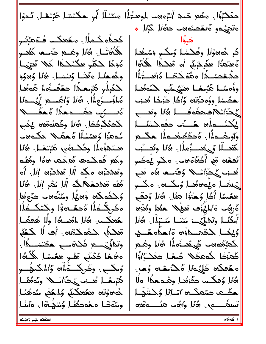حَكَبُوًّا. وهُم صْمْ أَتَرُوهِبْ لْوَهِـتُوْلًا وَمِّتَىٰلًا أَبِي هِكْتَسْلِ هُرَّتَهْلَ. تُـورُا ه لَكِيْهِ وَ هُرَهُ مَسْمَعَت حَمَّةً مِنْ الْجُمُلَ كَحِدُّه جُــداً!. مكَعجُــد فَــتمْ رَبّـد ۿڋؘؗٳ لْحُلُّقُنْـا. هُلا وهُــع حَبْـــعا لَهُـــب كَرِ ۿَ٥وُلُا وِقُطْسًا وُحْكُمْ وَسُتُعَا هُمكَمُرًا مِكْرِجَرِيٍّ )ُو مَكِدًا لَكَرُّهَا هُوَمُا حَمَّنُو مِكْتَحَدًا لَحَلا مُحَتَّى حكَمَحْسَــكَا هِقْمَــكْتْصَــا هُاهُمــتُوَلَّا وجْمِعْنَا مَعْنُا وُبُسُا. ھُلا وُھوُوْ لِلْكُرِلُرِ هُرُسِيْدًا حِكْفُتُوهَا هُومُدا وؤْهسُا هُبْسُهَا هِسَيُ سَيَ لَكُمْهُمَا كَمْأَوْسِــزَّىٰۖ أَنَّ أَنْ أَكْسَـــمَ لَيُـــعَلَّا حَصَّسُا ووَّدتُرْتُه وَّاكُمْ حَزْنَكُمْ هُنِت لَيْحَزَّامْلا هِمْهُمْهُمْ اللَّهُ اللَّهُ وَتَعْسَى لْحَمْدُ ـــه أَنْ ـــهُ مَـــمُو ــهُم حَمْدُ ـــا لْكَحْتَدْبِحُتْل. هُلا وحُكِشُوْتُوه كِكُب وَأَوْجُدْهَا أَنْ هُجَجَّعْمَعْدَهِ أَلْمَدْ حَرَ مُوعُرًا وُهِمَّتْ الْمَعْصَلا لِمَكُومِ هِمُكُمْؤُهِ أَلِمَ وَشَكْلُهُمْ وَهُبْتُهْلُ. وَهُمُا كَقْفَ لَمْ الْمَعْمَلُ مِنْ مَثْلِكَمْ فَيَوْمِنَ مِنْ مَنْ مَنْ لَّعْقُدْ ثُمْ أَخُذُّةُدَهَ . هَكُمْ لَمَكْسِ وكُم فَمكْمِ مُدِيْمٍ وَهُ اللَّهُ وَهُنُم وقعدت ومكم أمَّل تعدتوه إمَّل: أو هُدزب كَيْحُزُاتْمْلا وُهْزُمْهَا هُاه هْم كُفُه ت*ُحِ*كِحَمْلَا مُكُمْ أَنُلْ عُثْمِ إِنُلْ. 1⁄8 مُ چىشا ەلمەئەندا ۋىكىدە. ەگىر كَمِحْشَمْكُمْ وْمَهْلُمْ وِمْنُدُهْمَا حَرَّهِكُمْ همَّسُا أَحًا وُحَزُّوا هِلْا. وُلا وُحقَّى هَجْدُهُماْ هُجِمْهِ وَوَا وِكْتِكْهُاْ هُ رَبُّهَ عَلَيْهَا عَلَيْهَا مَعْظَ وَهُنَّوَى هَعكَـــــــ. هُمُل لمُعْــــهُ| ولَا هُعمُـــل أَمَكْسًا وِلْمَلْكِ: مَنْسًا مَسْتِمَّالٍ. هُمُا تَعْلَيْكُمْ لِمُتَّصَدِّهُمْ. أَهْلُ الْمُتَكَمَّةُ كريم المشهرة من المكام كليل وتَكَفَّيْ مِ شَكْشَبِ هَكْتَسُكُلُّ. لَكُمْ وَهُدوه ﴾ فَيَحْسَنُوهُ أَوْ أَوْ مُحَمَّرَ ەھْكَا خُنْتُمْ ھْفُىر ھَمْسُلْ لِگُلُّھَٰا كَعْزُجُا حُمْحَكَلا حُسْمًا حَدْكُمْ أَوْا وُكُبٍ. وِكَرِجْمَــتَّهْلُرْهِ وَٱلْمَحْكَمِ و مكان مان أيام للمركبة مكعده رُّهُمُّا وُهِكُسَ حَكَّرُهُمَا وِهُـمِـهِـمَا وَلَا كَبْرِهْمِا هُدْنِ حِيْدَاتِكْ وَحَدَهُمْمَا هُووُلُو مَعْمَعِكُمُ وَلَمَكُمْ مُتَوَسَّلَ حكّم حمّمكـــره ٱتــألا وُحِتْنَهْهَا ومَنْوَصْلِ وَهُوَدِهُمُ أَوْ تَنْكُلُ وَأَمْلُ حْدُوْنُہِ مَهْدِ وَكَاوُنُكُمْ  $\mathbf{r}$ ara  $\mathbf{r}$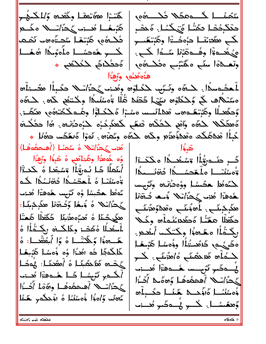مِّتُمِنُـــا كُـــــــــــمكَــلا فُـلـــــــرُّه | كُتَــْبَرا مِدْهَتِمْقَــا وِكَعْدِهِ وَالْمَكْنَوَب حَنْذَهُ لَكَسَنَا مَنْ الْمُسْتَمِنَ وَالْمَسْتَمَرَّةِ ﴾ [منْ أَنْفُسَ السَّنَةُ وَالْمَسَوْرَ الْ كُبِ مِمَحِّتِكَ ا حَزْوَجُكُمْ وَكَبِّنَعْسِي ﴾ فَكَلْحُوهِ وَكَبِّنَعْظَ سُحَبَّوهِ لَتَقْبَصَا ى مَحْسَوةًا وفُسوةَ لِمَنْ الْمَحْسَنَ مَعْدَمَاتِ مَعْدَمَاتِ الْمَحْسَرَةِ مِنْ الْمَحْسَسَةِ وَا وتَعْلَمْهَا سَكَّ مِمَّتَيْنِ مِثْلُ وَمِنْ الْمُحِثَلَامُ لِلْكُلُّفِينَ \* فَأَوَقُفْهِ وَزَفِزًا لْمَحْـُمِسْكَالِ لْمَــرَهُ٥ وِنُـرِّبٍ لِمُـُـاوْ٣ وِهُــزَى كَبْمُ ٱسْكَــرَا اللَّهُ مَثْمَــزَلَه ەسْتَلَاف كَمْ وَحْكَاوْهِ سَيْمًا كَتْنُمْ تْمَلَّا وْمْسُلُمَا وِكْتْتُمْ ݣُو . حْـقُو وْحِكْعِبْلَا وِهَبْتُمُّـهِ مِنْ مْعَالَمْـس مِسْـرًا هُـحْكُـارْوا وِهْــمحْكَمْتْرُهُ مِنْكُــز. ەُمكَلّْمَا ۚ كَمَاهُ ۚ وَٱمْعِ كَتَكُلُّهُ ثَنِيمًا ۖ كَمِكْبِئُةٍ ۚ كَبُودُتُو ۚ. هَٰا حَثَكُـ فَه مُّبِلًا مُعْلِّكُمْ وَمُعْذُمْ وَحَدًّه حَدَّة وَعْدَوْهِ فَيْ اللَّهُ وَالْمُكَسَّدِ حَدَّثًا \* هُدَبِ حَذَّابًا \* \* مُعَمَّا (أَعتَقَقَاهَا) وُه خُوطُوا وِكَٰٓنِىٰ اللَّهُ وَوَٰٓوَا وَرُوۡنَا ۖ كَبِ حِنُـــهِ رَقُلًا وَسُعُـــدًا مكْـُـــزَا أَمَنُعلًا كَـا نُـهِ رَقُلًا وَمُبِعْدا هُ ۚ كَدِ أَلْ وأصلتك المستمرك أمسكناه وَّىسُنْدَا هُ لْمَحْسُدًا دُوْنُـبُدًا حُد لأعْمَا لِمَصْسًا وِوُدْنُوْتُ وِلَّوْسِتَ كُەكْدا ھگېسُا ۋە كَرَّىسە ھُەھتْزا كُنزىت هَدَا مُن كَدَٰاتِكَ وَسَعَّاتِكَ الْمَسَاءَ وَسَعَدَ ِّكِذَابَكَ ۚ هُ مُعِمَّا وَحُــتَّةَ لَا مِكْبِـدَبِنَـا: ھكْبِدَّبِئِّبِ. لَمَوْنَبِّ وَهُدَوِّعْنَبَكِي مَكَيِكَـمَا ۚ مُحَرِّدِهِ مَثَبِـمَا ۖ كَكْتَعَلَّا هَـعَنَّا حكّفلا عمّنُا هُحفَداسُماُه وكَلا لْمِعْطَلَا ةُهَصْمْ وِكَلِكْــفِي رِكِّــةُ أَلَ بِكِنْهَا مِكْتُمُوا وِكْتِكْبِ أَيْعُمْ. هُـــهِ ذُا دَكُنْـَــا هُ وَا أَجْمَٰقُهِــا: هُ هَجَهُجِمَ جَعِيرٌ مِنْ الْمَشْتَمَرُ الْمَرْبِكَةِ مِنْ الْمَسْتَمْرِ كَلِكُوكَا هُو رَهُدًا وَو وُوسُا كَبَنِهُا كْمُلُوه هُدْهُمَّى هُ اهْنَفَى. كُلْر لَّكُصِ مَكْتَمَمَّا هُ الْمَعْمَلَا: لَمَكْنَّ المستوكب توجد المستور المستور المستور المستورين أَلَكُتُمِ تَرْبِسُا كَتَا هُتُوفَرْاً مُحْبَت لَكِحَزَاتَكُمْ أَعْمَقُوطُ وَهِوَمِكُمْ أَكْتُرَا كَذَاتِيهِ أَهْتَهُمْ أَهْتُمُوا وَالْأَصَارُ الْمُسَوَّا وْوْمِنْنُكُمْ وَاوْحِكْمْ كَمِنُكُمْ حَكْسِرَاْرَةِ كَمَّانَ وَٱوْدًا وُّوعُنُنُا وَ اوْعِكُورِ ۖ هُنُا ۇھگىشل. ڭىر لى مۇمر ئوز.

بحثاث بأن بتفتح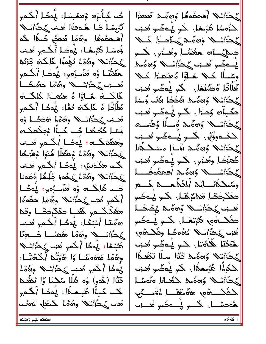كُ كَبِلُبْرَه وْهِمْسُا: لِهِكُمْ أَلْكُمْبِر سَّرْبِسُا كَـا هُـوشْلْ هُـزِبِ حَذَّاتِيهِ أُقْتُمَعُوفًا ۚ وَهُوۡنَا مُعْجَفٍ ضَـٰٰهَا ۖ كُـُهِ فُومُا هُبُعُا: إِوكُا أَلْحُوبِ هُن كِحْزَاسْلا وِرْكَامَا نُهْمُوْا لِمَالِكُنْ بِتَنْزَلُكَمْ َ حَكَثْنَا وُهِ مُنَ بِمَوْدٍ: إِيَّاهُمْ أَنْكُتُمْ إِلَيْهِ مُحَسَنَاتِ ﴾ [الأمراض 2014] حركة مسلم كَمْلَكْتُ هُاوًّا هُ مِنْعَاً كَمْلَكْتُ كَعِلَاتْنَا ۚ كَلِكُمْ نُغْلًا: يُوصُل أَبْكُوبِ هُدخت كَحَزَاسْكا وِ6َةْ الْمَحْصَلُ وَهَ ُوۡسُـٰا كَثَمَىٰٓطا كَــٰ كَـٰبِٱ وۡمِكۡعَكُـٰ۞ وهُدَهُد: حُددُ . وَحَدَّ الْمُحْسَنَ وَهُدَهُد: كَحَزَاسًا وِهَءَا وَهِمَا الْحَزَّا وَهَُمْهَا لَّـْـَـٰ مَكَــُمَـٰـٰىِّ، لِهَمُـٰلَّ أَلَــُّـٰءِ ۖ مُّــٰٓءِ۔ لَحْمَٰهُ أَعْمَلُهُ وَهُمْ لَم لَمَّا وَكُلَّمَا وَكُلَّمَا وَالْمَصْرَ كُــــا هَالْمُـــارُهُ وَّهُ هُزَّاـــرُه بِهِ فَهُصَــا أَلْكُمْ هُذِبٍ كَجَزَٰاتِيْهِ ۚ وَهُمْ الْحَقُوهَ ا مَفْهَمْكُمْ لِمُعْظِ حَنْدَّدْخُصْط وْقْمْ الأَمْتِكَا: إِيَّاهُمْ أَلْحُدِينَ هُدَيْتَ الْمُتَّامِينَ مَنْ الْمُتَامَّةِينَ مَنْ الْمُتَامَّةِ لأصِدَأَ السَّلَاءِ وَهُوْمًا مَقْصُلًا فَسَوْمًا كَبَّتْهَا: يُمْكُمْ أَنْكُمْ وَسَبَّكَ بِمُتَّابِكَةَ الْمُسَبِّكَةَ الْمُسَابِكَةَ الْمُسَابِكَةَ وِهَٰهَا هَدَهُ مِنْكُمْ إِذَا هَوَّنَّهُ لَكُدُّهَ الْكُلُّهُ: لِمَصْلِ أَلْحُمْدٍ مُعَنِّفٍ كَحَدًّاتِكَ وَ26\$ ثَنُزًا (خُومٍ) وُه هُلَا مُكْثِمًا وَا تَغَفُّكُمْ لَكُتَ كَبِثَلَا هُبُعَثَمَاً: يُوصُلُ أَنْكُوبِ هُذَبِ كَيْحَةُ اسْلاَ وِرَهُ هُمْ لَمْ كَلْمَعْلَلِ كَمَلْكُمْ لَمُحَمَّلِكَ لَمَنْ

لِّكِمَّاسُلا الْعَمْعُمْعُلْ وُمِهَمْ مَعْعَمَّا لْأَوْمُا كُبُرْهَا. كُلّْ لِيَوْكُسِ هُذَب كاكم أنسكتمرش ممرة هوتا أنتصرخ تَسْمَعُ فَ الْمَعْنُمُ الْمُؤْسَنُونَ وَ الْمَسْتَوْرِ . لَكَسْنِ وسُمِلًا لَحِيلًا هُمَاتُوْا هُمْتُحَدُّا لَحِيلًا كَعَلَاتْنَا هُڪْتَنُعُا. گُر هُوَڪُنِ هُدَبَ لَيْحَزَّابْيْلا وَ50هُمْ مُكْتُمَا هَٰنَي وَّسْمَا حَكْبِلُه وُحـُزًا. كُــْرِ لِــٰمَـٰنِ هُــٰ:۔ لِّكِحَٰزُاتِكُمْ وَ200 \$ هُــلًا وَعُنُوسِـ2 لْمُشْتَوْوَيُّ. ݣُلْسْ لْى عَضْرِ مُسْنَف لَكْتُمْكُمْ وَ30\$ اوْمِدًا مِنْمَدْدَا كَعْزُهُا وِهُدُّى ۚ لَا لِمَعَهُ وَ هُدَ أَسْتَغْرَبْتُ الْمَدْمَامِ الْعَمْقُوصُولَ وسَمحْدُوُّلْسَلَمْهُ أَمْادَّهُمِسْهُمْ كَسْمَعْ حْتَذْرُحُصْا مْحْتَزِيْمَا. ݣُـر جْـوكْسِ هُدنب حَ حَزَّاسْلا وَههُ ما لِحُمْدًا حثَكُـــوهُ هُبُتُـقـــا. كُـــر لمـــوكَــر هُذبٌ كَيْحَذَّاتِيهِ ۖ يُؤْهِضُهُ وِضَّلَّــوَهُ مِ هَّقَطُّلَ لَأَنَّقَتْلَ. كُــر لِيــمكّس هُدنت لِكَمْمُنَا لَا مِنْ هُمُوا مِنْدًا مِسْلًا تَتَعُدُ لِكُبِلًا هُبُعِمًا. كُرِ هُوَصُرِ مُن كحذائك ؤدةمك لمكشائل وتمشا لْمَشْمَدْ وَهُ مِنْهُ تَعْفُسُهُ لَهُ وَمُسْتَوْب ـْھُەھسُــاً. كُــــو لِــــەكْسو هُــــزب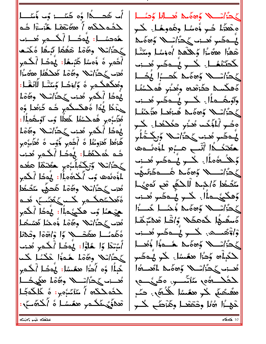أَمَّ هُجَـــدًا وَّه كُسَّـــ; وَّــ وَّسْــــا لْمُدْدِكُلُهُ أَ مَلاَنْتَمْلُ هُزُنْزًا شُد هُوصِيْــا: هُوصُــا أَبْكَــومِ هُـــزت جَدَّاسًا وِ16\$ عَفْعُا بَبْعُا هُكْتُ أَخُمِرٍ ۚ ۚ وُۡمَمُا كُبُنِـٰهَا: إِيۡمَكُـٰا ٱلۡكُـٰمِرِ ۖ مُدْتَ إِسْمَاسًا وَهُمْ لَمَدْهُمْ مَلَاهُمْ أَمَّا وِمُكُعكُمبِ ۚ وَٰٓ ٰ وَٰٓ ٰ وَٰٓ مَتَـٰٓ ٰ لَاتَغْـا: لْمَصْلِ الْكُمْبِرِ مُعْنَى صَبْكُمْ الْحَصْلِ وَالْمَحْمَلِ حِبّْنُا خُهَ الْمُعَامِنُونَ الْمَعْ الْمَجْمَعِينَ مِنْهُمْ وَجَعَلَتِهِ مِنْهُمْ مِنْهُمْ مِنْ هُذَّبَّو، هُمَحْسُلُ كَعَلًا وَ ۖ ٱوَّحْمَاً ۚ ا لَمَحْلِ أَلَكُمْ هُدْمَاتِكُمْ وَالْكُمْلَ وَالْكَامَ كَّرْهُا هُدْوِيْنُا ۚ ۚ أَثِّهِ ۖ وََّمِّ ۚ هُ ۖ مُّذَّبَّوْهِ ۖ حُـه خُمحكَمُـا: إِمَحُـا أَحْـمبر مُدنب كِحَزَاسًا وَّزِكِكُمْلُمُّومِ حَقِيْتَمَا عِقْدَ لمُؤْهِنُوهِ ۚ وَ ۖ ٱلْكُلُّهُ ۚ وَلَٰهَ ۚ إِلَٰهَ وَلَٰهَ ۖ ٱلْكُمْبِرِ ۚ مُدْتَ إِيْمَانَ لَا وَهُوْمًا كَلَّكُمْ مُنَصَّلَاتِ مِنْكُسُولَا ةُهْلِسُمْكُمْ بِهِ حَمْلِكُمْ يُوسُمُ مِنْ مَنْ عَلَيْهِ مِنْ جَمَعُه الْمَصْلِ الْمَحْرِيَّةِ مِنْ الْمَحْرَمَةِ مِنْ الْمَحْرَمَةِ مِنْ الْمَحْرَمَةِ مِنْ مُدْتَ كَحَذَٰاتِكَ ۚ وَهَٰهُمْ وَهُدَا مُحَسَّمَا ذُهَمْسًا مِكْشَسِلًا وَإِنْ وَارْدَةًا وِتَحْلَلَ أَمُتِكَلِّ وَلَـٰ هُلَوْٓا: لِمَكُـا أَنْكُـٰمَةٍ مُحْبَب جَدَّاسًا وِرَهُمْا هُدَوُّا عْكَسًا كَب كَبِلًا وَّه أَحَرَٰا همْسُل: لِمَحُـل أَلْكُـمِر مُصنِفٍ كَيْتُمُ أَسْمَلَا وِرَهُ هَٰهُ مَنْكِيكُمْ ا َكْثُمْكُلُهُ *أ*َ مُ*نْأَكْ*بُوءٍ: ةُ كَلِكُم<sup>ِك</sup>ِل تْعَد*َقْ كَمِنْكُ*م مِعْسُلُ هُ أَكْدَهُ ۖ فَ):

حَيْدُ الْمَسْلَلا وَ50هُ هُــالًا وَحِسُـا ەڭھنّا خُىر ۋەسْا وھُەوھْا. كُىر لمدهْمَةٍ مُحَسَّرُ مِنْ مُحَمَّدٍ مِنْ مَحْصَلِ هْكُرَا مِثْمَنُوا وَ لِلْلْعَظِ /وَمِنْدا وِمَثْدا كَحَتْنَهُــا. كُـــر لِيـــوكُــر مُــــزب لَكُمْ أَيْسَمْهُ مَدْهُمْ؟ كَسَبَرُا يُصَلّ ەقكىم كەشدە وەدۇر فەللىئا وَٱوۡعَـُـمَاۤا ۚ. ۚ خُــــرٖ لَمِــمَصَّرٖ مُـــۃِٮ كِجَزَاسْلا وَ50هُ هُ هُزْهُما هزَّهْنَا ەكْبَرْ أَلْمُّكُتْ هُنُّرِ حَكْكَفاً. ݣُـْر لمحاشَّدُو مُحَسَّرُ مَنْ أَمْرِيكُمْ تُمْكُمْ هَقَتَكُــٰهَا أَتْبَ هَــِبُمْ لَمْوَهْـَـهِ كَرْكُمْ الْمُومَاْلِ. لَكْسِ لَى حَصَّىرِ ثَعْسَرَت لْمُحْمَدُ مِنْ مُحْمَدِ الْمَلْحُمْ مِنْ مَحْمَدَ وُهِكُيُّےاً. كُــرٍ لِــەكَــرٍ هُـــزَت لِيَحْزَانَــــلا وَ5% هُمْ وَعِنْـــا بَدَـــزَا ەَسَفَىهَا حُدْمَكُمْ وَٱشْا مْمَتَبْشَا وْاَوْتُعَسِيْهِ. ݣُسْرِ لْمُسْمَحْسِ تُعْسَرَتْ لَّكِحَزَٰاتِكُمْ وَهِهَمْكُمْ هُــوزًا وَّهُمْـا َكْثَرِلُمْ وُحَزَّا هَمَّسًا. كُبْرٍ لِمَحَّىرِ مُحسنه حَيْمُ ٱلْمَسْلاَةِ وَهِ مَعْظَ لِمُحْسِبُهُ هَقَىمَْمَمْ لَكُرٍ هُمُسُلٍ لَلْأَهَىٰ. حَنْهِ خْدِءُا هُلا وحْتّْفَعْدا وكُنْحَكّْ حْسْر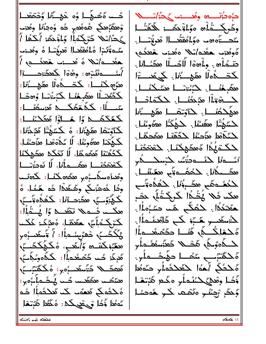كُـــد هُ هُدكُـــا وُه ۚ دْهِـــزَّال وُحْتَمِيْتَــا وۡمِكۡبُمۡكُمۡ هُمۡمُعۡبِ ۖ شَهَ وَۚوَجُنُٰلَ وِمُنۡت ِّكِتُّاسًا كَتِكِكُماً وَلَوْحَكُمْ *أَ*خَلُفًا *أَ* سُّـدَّتُبْزَأُ هُٰلمُثْتُعُـالُ ثَعْرِفُنْـا ۚ وَقُصْرَت هَقُفْسُدانْكُلّْ هُ هُفْسَنِي هُمْلَائُسُسُدًا أَ مَرَّهِكْسًا: كَتْسَدُّەلَّا مَ*مَّجْسُ*رًّا: كَكَعُنَــلَا مِكَبِـمُنَــل كَبُـنُوْـَـل وُ1ْصَــل سَّـــلُا: جَكَمْمَكَـــد مَّنسمُنْـــا: كَمَحْكُمْ وَالْمُسْلَوْا مُحَكَّسُا: ِكَّآوُتْهَا ه*َلْ*هُنُا: هُ ۖ كَـُمَّهُٰتُا هُمَّحْنُا! لْكَوّْكَمْا مِرْهُوءُمُا، لَا كَلّْقَوْمَا مِزْحَمُدًا، ِكَكَفَتْنَا مُمَ*ّدَهُا،* لَا تَتَكَّد*ُ* م*َكَ*دِكْنُا كُمْتَمَثَّسْــا مكْــــملُّلا، لَا نُودُ:ْتـــا ومُدأەسلَمْـزُەپر ھھُھكْـُـا: ݣُھْـُــ ودُا خُوهُ; كَم وهُنَعُدًا خُو حَمْدًا، وُ كَلْهُزُوَّى بِهِ مِكْرَدانُا: كَلْفُذُه وَّسَىْ هكُــــــه قَــــم \$ الْمَــــمْ وَالْمَــــقُهُمْ الْمَـــقُهُمْ الْمَ كَتَرَبَّكُ مُبْكِي حَقَيْضَا، ةُمْزَكَـٰ; كَكَـٰب لِكُكُسِيٌ ثَعْثَىِشُوبُاً: }َ تُسَكَّنِسْوُهِ هڤَزْوَلْكَلْكَ وَأَمَكَنِ، ةَلَكَلْكُكَسَبَ كَبِرِكَ; كَـَـٰ كَثَمَثُدَهِ}ًا: كَـٰكُاهوبُكَٖمَـٰبُ مُعَكَّلًا كَتُسَعَّبُونِ: وَكَكَتَبْتِكَ مَسَّقَّب مَمَّعَـــ تَــ لِمَشَّــهِ مِنْهُمْ: وَْحَدُهُ كُمُهُ مَنْ كُلُّ مُحَدِّدُهِ أَلْهُ هُ لَمَّتَمَّةَ لَكُمْهُ : شَكْرِيقَرِ وَالْحَقَّ الْمَمَّةَ لَكَمَّةٍ مِنْ الْمَوْسَ

وكَرِبِكُ شَاْرُه هَوُاؤْحَفَ الْحَكْسَارِ مَكَــــــَوْمِهِ وَكُلُمُقَعَّـــالْ هُدِؤُيَّـــا. ەُومُدىي ھقُدە/تىلا ەمُدىي ھەدئىم ضَّـهُاْهِ . واْهِهْا لَاحُــاْلَا هكْــاللّ . كُتْـــدْهَا هُمْـــأْمْل كَيْمَــــــْتْلْ مكرهُنُـــا. كَتْتَرْتَـــا مسَكْنُـــا. حَدَةَوَءَا الْمَجْحَدُ الْمَسْمَدِينَ الْمَسْتَمَادَ الْمُسَارِ محككمُــــا. كَآوُتمْـــا مِكْمِـــأْمُا لكَّمَّهُنَّا م*َ*فَ*سُّا. لِكُ*هُكُّا م*َنَّهُوسُّا.* لكنَّاثَها مَزَحْنُا لِكَنَّفْسَا مِنَّفَحِمُّالٍ. لِمَكْتَهُمُ أَمْعَكُمْ كُمْلًا بِمَحْقَقَتُمْ الْمُؤْشَرِ أَنْـــدُّلْ لِكَنْـــدْتُمْكِ لِكَبْسِكِـــدُّمِر هكَـــملاُلل حَــمُهُـــوتُو همّسُلــل. للنُعْسَمَكِي مِكْبِرْتُا. لِلثُقُدُه وَّس هكُ فَلا هُتُكُمُ كَعِكْتُهُ هِصْرِ هَقْتَكُمَا. حَقُقُبْ هُب حَسَّرُهِ إِلَ كْتْسَعْسِير حْمَةٍ كَلّْ كَاتّْعَشْدَاً!. هُكْمُلِكُمُ هُنُسا حَكْمُشْــهِلَا لْمُدَاهُوَيْدًا مُشْمَلًا كَعْزَىتُعْشُمْلُو هُكْتُبْبِ مَّعْسَا حهُثْــهلُر. هُكْتُكُمْ أُحْفًا كَتَعْكَتُمْلُو حَنَّدَهُمْ وَّحُـا وِهْدَىٰٰٓ حُمْنُـٰه اللَّهِ مِكْـَمِ كَبَّتِـهَـا كَمِحْمَ رْجِئْتُو وَتَشْعَبْ حُمْدِ هُوَجِئْتَا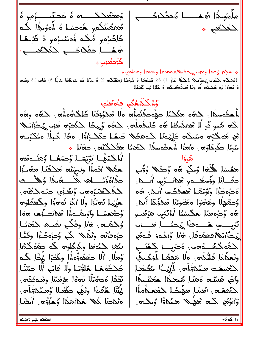وْمِكْكُلْكْــــــْ هُ ۚ هُڪنَّنَــــــــزُهِ وَ ەلمُوَمِّدًا شەھىسىل ەَجېڭلاھىسىپ مُعصَّمُكُم جَمَّحسُا ۚ ذَٰ اللَّهَ عَلَيْهِ اللَّـٰهَ لمنُلْكُب \* كَاكَنُومِ وَْكُمْ وُومُنْيُومِ وَ كَبُرْهَا ھُمُـــا حثُدْکَـــمِ حُکُدَھُعــــمِ: ػ<sup>ۣ</sup>ٛڗۘۘڞؽڹ؞ ومعالجه المعصوم والمحاسن المحتار وحناهم والمعالج مصمر (صْحْكُم حَكْبَتِ حَجَّابُكُمْ الْحَكُمُ الْحَاوَّةُ 1) 23 خَصَّصَتُمْ أَوْ مِحْمَّتُكُمْ 23 مَنْزَلَ فَ متَمككا سَبِلًا 3) خُات 31 وْحْـمَ هُ قَ9هُ| وُه كَحْكُم أَه وِقُا مُعَـٰهُومُوهُكُمْ هُ ۚ ذَاوُ| وُ؎ تَعْمَلُ|) كِمْلَكْلُمْكُمْ فَأَوْقُدُو لْمَحْمَسِكَا. كَمَّه مْكَكْمَا حَهْمَحْكُشَاه مالَا مْحَاوِّوْطُا خَاجْدْهُماه . كَمَّه وْهُم لَكُمْ هَنْدٍ كُمْ لَا تَعْتَمِكُمْ لَمَّاهِ كُلّْمَاءَاهِ . حَلَّهُمْ وَإِيكُمْ حَكْمَتُوهُ مُحْزَب كَيكتُوات هْمْ هُدْكْرْهْ مِسْكُلْهِ ظَلُّمُلْ كُدْهَكْلا صُّغْلْ حَنْكُمْ}وّْلْ. وهُلْ كُبِلًا مَكْتَرْبِيهِ مُبِمُا حَكِبِكَاوُهِ . هُاهَٰزَا لَمَعتُمسَمَا لِحَمَّدِمُا هَكَلَكْتُهِ . حَمَّلًا \* أَلْمَكْتَـٰهُـٰـا تُوْتَبِسْـا وُحِنّهُــا وُهنُــە هُدە همُسُل لَمُلُهُ! وُلِّي هُ٥ وُحثُلا وُوُّب هكَلا ٱثْماٰ! وبُهِبْنَه مُللفُلا مِهْمَاْ حِدْاهُ وَّئْـــــاهِ يَكْــــهُ مِدًا وَ كِنْـَـــهِ لِمُلْكُفْتُمُ90، وَبِعُدْوَى حَسْمَلَحُلُوهِ . ەَدۇەخْرَا وَآوْتْھْا قْعْمَدْكْسْ أَبْدْ. ھَە وُحقَّهِلَا وِهُةَوْا هَفْدُوسُّا مَعْدَفُمْا لَهُمْ. هُنُهُا نَهُمُّا وِلَا اُلَّذِ نُوهُوا وِكْعِغَاوْهِ وُحثَعمسُه وٱوُحثَــدأَا ثَعِلاَتُـدَـزُهـ، 30أ رَكُو وُحِزُوهِمْا حَكْسُمُا ٱلْمُتَّرِّبِ عَزَّهُمْتِ وُحْثَــهِ. هُ/ا وِثُكّــ بُقَـــه حَـقُرْـُـا تَمَّسِس مُسْمَدُ اتَّهِ مُسْبِقَّ دَّەدَٰٓتْنَہ وَتَمْلًا ۖ كُمْ وَدَّەدُۃًا وكُتُّا حَدَّٰہُ نَکا الْعَمَدُوا ﴾. اللَّٰہُ الْمُلُومَ وَاللَّٰہُ وَاللَّٰہُ وَاللَّٰہُ وَاللَّٰہُ مِنْ ا لْمُعْكُمُـــة«ب: ەْحَرَّب: ݣْݣْلَــــ ىنگز كىمۇما وڭرگاۋرە كە دۇقىڭىھا وُهلًا. أَلَل مَعُثُمُوْهاً وكُتْرًا يُظْ كُـه وتَعَكَّدُا فَانْكُلُهِ . هِ لَا عُقِصًا لَمْ يُحَكِّ كَحْدَّمْهَا هُاوُّسًا وِلَا فَابْ أَلَا حَمَّتْهِ لِحَقْسِعَتِ هِمَكُمْ تُوْلُونَ إِلَىٰ الْمُحَمَّدُ الْمُحَمَّدُ لَّفْقُلْ هُدْهُنْلَا نْحَاهُ الْمَخْمَنْلَ وَهُدَدُدُهِ . وَأَتْ هْسُدُه هُهْل هُيعِدًا هِغْسُدًا لِمُتْلَا هَقَىٰٓةًا وَنَجُى حَكْفِظًا وَهِـمَّكَاةُ أَنَّهُ . لأَمْعَصُرِ . امْحَمُدْ الْحَمْدُ الْمَحْمَدُومُ وتَكْحَنَا لَحْلا هَدَاهِدًا وَحَزْوُهِ . أَنْظُلُ وْالْوَكْعِ كَمِنْ تَعَيْمِكَ هِمْكَاؤْا وُحْكَمَ .

كناه المستحمل المتحرك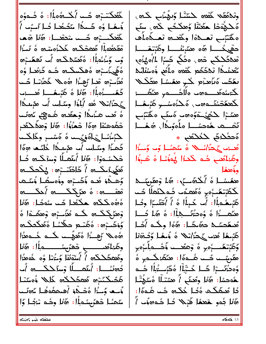كَفَكَتَــْ; ۞ كُــد أَكْـــ ۞ هُواُا: ۞ فُــدؤه زُمطًا وُه كَــداً مَدَّمُعًا تُــأَمَّت أَ تَمَكَّشُمِلْمَ مُصْحَكَ مِنْ كَلّْهُ مِنْتُ مِنْ مُنْ الْمَنْزَالِمَ مِنْ مَنْ الْمَنْزَالِمَ مِنْ وُب وَٰٓئُمُهِۢٳٗا: ہٗمۡشَکلند ﴾ اُب تَعمَّبْ ەَفْهَيْنَــْ، ەْھْكْسْكَــْ هُــْمْ كَـْهُـْلُ وُه مُنۡبَرۡہ مۡل ۡہِیۡۥٗا ہُ٥۞ لَحَبۡنَـا حَــہ كَعُــــزُه إِلَه: هَٰلَا هُ كَبُنِـعُــــل كُنـــزم جُدَّامْلًا هُدْ أَيْلَوُّا وَسَمَلِكَ أَبَّ هُزَيْدِكَا ةُ ثَعَــا هـَٰٓمَدُا وَحَقَعَـاهِ هُــوضى مُّعْلَمَ َّ دَهُومِيْنَا وِيَّا دْهُزُوا: وَيُا وْمِدَكَمْحِمْدِ لكَمْ تُوْسَى الْمَعْلَمِينَ مِنْ الْمَسْرِ وَكَمْلَكْتُ كُهِدًا وسَمَاتٍ أَبَّ هُمِندًا ذُلَّتَ وَذَا حْكِسُووْا: هُلا أَعْمَـلًا وْسِرْكْـهِ حُـل مَكَى ٱرحْسَنَ أَكَلّْكُنّْتَ آهِ : وَلَاحَكْسَهِ أؤهلكُو هُده وُكْسرْ3 ووُّەمىگىل وُمُنْك تعقسه: ةُ مَخْتَبْكَسُهُ أَحْكَسُهُ ەُۋەڭگە ھگەل ئە مەئدا: ئ وْهِكْبْلْدُ مِنْ حَمْدِ هُؤُسِيْرِهِ وْهِهْشُدَا ةُ وُوَكَـــرْه : ةُكَسْع حكَــُــا ةُهَكَّحكُــه رُهُ مِلاَ رُهِــُزَا وُهُمُّـــب كُـــم خُــمِعْزَا دُهنُفُـــا: أُسَّعَـــلَّا وْسَأَلْحَــْــه أَب كَصَكْتَبْرَه مُعكَنْدُه كَلِيْ وُمِنْتَا وَّْتِ وَّتْ أَوْشَـٰدُوْ أَقْتَمُوَهُـٰ لَا يُونَّب مَعْصَلِ دْهَرْمِينُدْأَا: ﴿ وَٰٓلَٰ وَحَٰدٌ يَٰٓ ذَٰٓ وَٰٓ ۖ وَٰٓ ۖ وَٰٓ ۖ وَٰ

وْلَمْكُلَّهُ كُفُلُهُ حَكَّتْنَا وُبِهْنُو حَكَّمَ. َهْكُوْتُوْمَ حَقَّتْنَا وُهِكْتُبِ كُنْهِ . سَبْ مَمَّتَبْبٍ تَعْكَدُا وِكَفْدُه تَعْكُدُهُ حقبكم المستشرك مفراك مُعْكَفَكْمِ دُهِ. مَثَكَ كُسُرًا لِمَاهُ فَيْهِم كَتْعَسْدَا لَلاَحْمَٰهِ كَتَعْنِهِ مِلْمُعِ وُْمِسُلْكُلَّ بَقَضَت ةَبَرْهَا بِمَنْ الْأَسْسَلَ هَدَيْتَكَلَّا كَعِمْتَمْنُكُ ٥٥-. وَكَذَّهُ سُبِ كَبُنِهُا مسْبَرًا لِحَمْهَ مَعْهُدَهُمْ وَالْمَسْلِمِينَ مَكْتَبَرَّب لّْهْـــمْـ هُوَجِسُـــا وِلُوَوُبِـدًا . وُهُـــا ەْحثُلامُ للىُلْتُىم \* هُدَابٌ وَأَسْلاَ ﴾ مُعْشَا وُبِ وَسَرًّا وِهَٰٓٓٓ;لَمُّصَبِ شَـٰهِ كَلَّٰٓدَا۟ا لِهَٰٓوَٰٓ ٰٓ آٰ ۚ شَـٰٓ ٰٓ وَٰ وؤهما همْسُلُ أَكْتَهُ فَيَ وَالْمُسْتَمَرِ وَالْمُسْتَمَرِ ِكَكَبَْتُ**مُ**ـِزْهِرٍ ةُهُعَـُفَ ثَـهِكْتُعَلَّا ثَـب كَبُسْهَاا أَو لَمَا كَبِماْا هُ أَ أَتْتَسَبَّا وِحُا هَنَّصَـــٰٓ; أَ وَوَحَبَّنَـــٰهِيلَا : وَ هَذَا حُـــا مُعهَّدسًا دهً حَدًا: هَءُا وحُد أُحُـا هَّبُـمُّا هُنَـ حَكَّابُـْلاً \* وَّـمُّـا وَّكَـتَّالَا وَكَبَّنَكَـــزُهرِ ۚ وَعَعَــــ وَّحْـــهِلَٰـزُهرِ هَمْهِمَــد كَــد هُــدَهْ : هَنْكُنْكُـدْمْ هُ وُهدُنُسْــرْا كُـــا كُـــٰٓزْيْلَا هُكَرُســـُزْيِلُا كُـــه هُوصُا: هُلا وِهُنَى أَ هِمُنَا أَمْكُنُنَا دُا مُعطَّكُمْ ةُصُل حُكْلُه شَيْءَ أَحْدَةً الْمَدَّةُ هَٰلًا ثَدو هَعهُا فَبْلا تُا شَدهَوْت أَ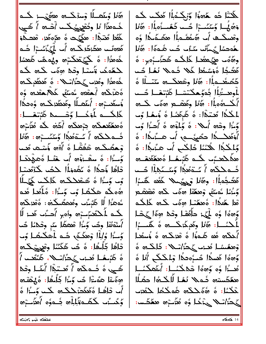هَٰنَا وُسَٰمَــلَٰا وۡسَآكَــہ مِعۡهَىٰـــۃ گَـــم حُدهَٰٓا مُل وكُفْعِيهُ كُمْس أُصْبَهِ لَمْ كَصِي كَفَعَلَّا مُنْتَجَّاً: مِنْكَبِيْتِ ۚ مَرَّهِ مَّذٍ، مُحَــدَّوْ هُدەنَــــا محَـزَحَارِحْـــره | اَبْ أَيْ زَحْـــرَ | حَـــه هُمِعُوا: ٥ كَمَ تَعْكَّبُرْهِ وِلَى هُمَّ كَعِمَد لْكَمُمَكَّدِ وَّسْدَا وَقَدْ 30 كَمَدٍ لَكُنْهِ لَكُمْ هُدَهُ وَهُنِ حَيْمَةٌ السَلا: هُ هَدَهُ بِكَمْ وَ هُهْنَدُه أَحْمَدَه شَمْئُع كَلَّا حَقْدِهِ وَه وُسِعَيْدٍ ۞ : أَسَّلَصَلَلَ وَهُدَهُدَنِكَ ۞ وُ٥دَالَ خُلِكُــه لَمُوْحُـــا وُحْـــمِهِ هَبْتُمْــا: هُمحَكَمَحَمَدَه بِتَرْمَلَاهِ أَكْفَ حَدَّ مُؤَيَّرَه ئُـــه لِكُــدَة لَا يَــتّمُعِدُما وَسَيِّئت وَ اللّهُ عَلَيْهِ مِنْ الْمَرْمَا وْهِمُبِكْلِهِ هُفُقْلُ هُ أَالله وَّسْمٍ مُحِب وَٰٓٮُرَٰا: ۉۡ مِىقۡـِ;ۏٛٯ ٳٞٮ ۿٸٳ ۉٞٯؼۛڮػٳ ْ دَافُا وَّحِدًّا ۚ وَ <sub>ك</sub>ُعُوفِ*اْ*ا حَكَ كَآتُمْسَا وۡٮ وۡــُ;ا ۃۡ مُـھۡنَــُنَّـہ کَالَّـُـب کَیۡــلَٰا رُهُوجُه هِكْكُمْ وُب وَّـزًا: وَّلَّهُمْ هُدَه هُعَزَا لَا هَٰزَمَٰنِ وِمُعصَّكَةٍ: ةُمْزِكُم لَّكُتْ لَمُكْتُمْكُمْ وَالْعَامِرِ الْحَسَّوَاتِ كُفْسَ لَلَّا /ُمنّەَلْلَا وحٌــٰ وِّــٰزُا هُـٰهِـهَا مَـٰٓرٍ وِثْـٰٰهِ مَا حٌـٰـٰ وَٰٰٓٓ وَٰٰٓٓاٰ وُلِٓاْلَا وَمِكۡـٰکَ ذَـٰہٖ اُھگنگَـٰا وَّبَ تْلَوُّا كَلِّىقًا: هُ كُمْ هَكْنُنَا وِتَعِينَ كُلَّهُ ةُ هَبْسُمْا هُدنِ حَ حَبْكَ الْمُسَاءُ مِّنَقَّدَ الْمُسَاءَ كَصِي هُ شَـهِكُم / مُسْتَوْا أَسِّلْ وَتَمْ هِهُمْا هِمْنْزَا هُد وَّنْزَا كَلَّكُمْ: هُكْسُه أَبِ ثَاقُا ةَمَكَّتْبَكَدُ كُبِّ وَجُرًا ةُ وَكَسَنَتْ لَكُكُمْ وَبَايِلُهُ ۚ فَسَوْهِ أَهْزَمْتَهُ

لَكْتْا هُه لَهُووُا وُرْكِكُواْ مُكْسَد كُنْهِ ذَهُ إِلَى الْمُكْسَبَرَا حُسَنَ كَمُسَنُوبِهِ أَنْ رَبُّهُ الْمَرْ وتَعسكت أَب هُمُعُنُدمِلَ مِعْصَدُمَا وُه لَاثَہُ : اَصَٰفُ مَنَّاب شَابِ اللہِ مِنَّابِ ا وِهَٰهُ۔ مِهْمِعُصَا لَحَالَکُ هُجُنَــزُهِ بِنَ مُثَّبُد هُوَمُمُعُلٍ كُلا شَملاً نُسْلِ صُدَّدٍ كَعُمُعْـــمِلْم!: هَٰلْل وَعْعِدْـــهِ مّتنَـــلَّا هُ لْمُوهِـــتُبْلُا فُوَهِــهُــْتَسْـــا كَبُتِـهْـــا كُـــب أَكْتُرْهُ وَإِلَّا: وَأَمَارُ وَهُنْقَتُ وَهُ وَهُ وَلَى الْخَلْبَةِ لْمَكْدًا مُتَدَّا: ۚ هُ هَرَمُنَا ۚ ۚ وُحَمَّا وُبِ كَنُوا وَحْدَهِ أَسْلاً: هُ وَلَمْؤُدَهِ هُ أَحِبُّوا وُب أُوْهَٰكُما أَسْتَمِينَ مِنْ أَوْ مِسْتَمِدًا: هُ وَلِمُكَذِّا لِكُنْنَا دُلِكُبِ أَبِ هِنَبِدًا: هُ ھكىلائىي گە كَبْسُط ۋە ھەتمى ھە ثَــمحكوه أَ يُــتَوْجُمْ وَ يَمْــكِمْفَا كَــب هَدُمِيدًا: وهَٰلَا تَحِيَّىِٰمِلا لَهُمْ لَمُّسْرَا وَّنُّهُمْ شَمِّعُهُ وَهُمَّمَّا مِیِّ مِّ مَشْهَمِ قْطِ هَٰذَا: ةَهْهَٰدَ وَهَٰبَ حَمْدِهِ كَالِكُمْ أَوْهِهُمْ أَيْهَا حَاكَمْهُمْ وَهُمْ هِهَا جَمْدًا لَمْكْسًا: هَٰلًا وَهُدِكْنِكْتُ هُ هُسَـٰزًا أَحِكُمَ هُو كَوْاً وَ هُزِكُمْ وَ وُسِعْداً وْهِمُسْلِ مُدنِّي حَزَّاسُهِ: كَاكْتُهِ هُ وَّدهُا هُسكَا حُبُّومِكَا وْلِمْكُلَّى ٱللَّا ةُ هُــزًا وَهِ وَهِهَا شَمْكُنُــا: أَسْمَكْنُــا هَهَّكُسْتَهِ شَمِيْلاً نُهْلِ لَلْكُلُّهُ مَمَلَّل تْكْتُلْ: ةُ شَكْكُمْ هُمْكْتُعا لِكْعْنِب حَيْدُ مِنْ الْمَدْيُمِ الْمَدْيَرِ الْمَسْتَرْدِ مِنْ الْمَسْتَرَابِيْتِ

بمنفته لمَهْم بمورد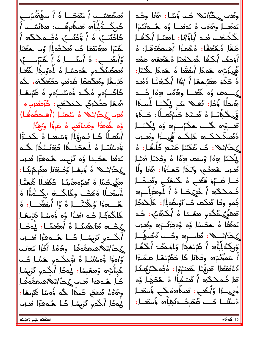مُممَّعتَــــــا أَ مَنْتَـدَّـــا ةُ أَ مَــوُتُّهَ بَــب كَمِكْتُ أَبِلَٰهُ مُعَجَّلِهُ عَنْ هَلاَسُتَ أَ كَاكُنْتَ ۚ ۚ هُ ۚ أَ وُّكُنَّ ﴾ هُشُــه دَــدَدُه ﴾ كَتَتَرَا مِلاَّتْعَمَّا كَبِ مُحَكَّدِياً وَبِ حَكْبًا وَٱمۡعَــــــى: ۚ ۚ ٱسۡفَــــا ۚ ٱ لَّمۡتَنۡبِـــــَى مُعصَّمَكُــمِر حُمَصُــل ةَ لمُوَجِّدًا خَصَّــل كَبُنْقَا ومُكْعَمَا هُءمُدٍ حَكَمُكُنَّهُ، لَكُم كَاكُــزُەبر ەْݣـە ۋەممْــزْەب ەْ كَبُـھْـا هُمُا حثَكَاكُمْ لَحُكْتُمْ : كُنْرْتَعُوْبُ \* هُدَبِ حَيْدُاتُكُمْ ۚ مُّ مُنْعَمُلُ (أَقْتَعَقُّوَهُا) وُّه خُوهرًّا وكَرَامُّهم ۚ وَجُورًا وَرُهَّا أَمَّكَ الْأَحَارُ مُوَّذًا وَمُبْعَداً هُ كَدَنَّا وَّەمْئُنْـا ۋَ اْھتْسُـدًا دُرْفَـٰـدُدًا حُـد كُەمُدا ھگبىئا ۋە تَوْجِيب ھُـەھتْرا مُدنب جُحَزَاسْكَلَا ۚ وُجِعًا وَحُــٰةِمْا هِكْبِـدَبِنَـا: مكَيحُمَّا هُ مُدَمِّومُنَبِّا ۖ كَكْفَلًا هَمَنَّا لْمِعْطُلَا ةُهَصَّةِ وِكَلِكْتُ رَكِّشُهُ لَ هُـــودُا وَكُنْـُــا هُ وَا أَجُعْثُفــا: هُ كَلِكُوكَا شَـه اهُدُا وُه وُهسُـا هَبُعْـا لَحْصِرَ :لَكَمَعُمَا ۚ أَمَقَعَتَكَ لَمَ صَحَرَ أَلْكُتُمْ تُرْبِسُنَا كَنَا هُنْدَفَتْ أَهْتَدَت كِحَزَانَكَلَاهِيمَعْمَمُواْ وَهَوْمًا أَكْرَٰا لَمُولَب وَّاهُوا وُّهشُنُّا وُ اوْحِكُم ِ هُسُّا كُب ِّ كَرِكُمْ وَ وَ هُمُ مِنْ الْمَوْتُ لَهُ مِنْ مَنْ مَنْ مَنْ مِنْ مَنْ مِنْ مِنْ مِنْ مِنْ مِنْ مِ كَما هُـوعَةُ اللهُـزِبِ ﴾ حَزَٰ إِنَّـلاَ صَدْهُوهُــا وِهُمْا هُمِكُمْ كَنِدًا لَكُمْ وُمِنْا كُبُنُهَا: لِهَدًا أَنْكُمْ تُرْجِئُنَا كَنَا خُنُدَفَتْرًا مُحْبَث

وهُذِبِ بِكُنَّ أَسْلاً كُبِ وَمُمَّا : وَأَمَّا وَهُد كَمُعْطَرِ وَهُمُو ۚ يُمَعُطِ وُهِ حَسَمُتُمْ ا لِكَمْكَنِب هُنه أَبْلَؤُانُا: لِمَعْسَلِ أَخْذَبُنَا هُمْۤا هُمُّعُمْٓا: هُدْمُ;ُا ٱمْمِعُّةُٯْا: هُ أُوْحَكُ أَخْذَهُا خُمَحْتُمْلَ ةَ هَٰعُهُمْ مَغُد فَي َجْرُهِ هَوَجًا أَحْقَقًا هُ هَوَجًا لَحَدًا: هُ شَاْوِ مِكْبُِـمِمْلِ أَ إِوَّٰٓا أَكْدُهُ نَـْلِ هُمُّـَـٰ لَ كَمْسَمْعَدْ وَمَا وَجَاءَ وَمَا الْمُسْتَدَمَّ وَجَاءَ مَنْ الْمُسْتَدَمَّةَ مِنْ هُحلًا وَّحًا: نَّصْلا مَّـ لِكَيْـا لَمِـدَّا قَي كَجَاسًا ۚ مَّ هَــتَـمْ شَيْرُكَصِـلًا: شَــجُو تَعْبِرُوهِ كُلْمَا هَكَرُمْتُرْهِ وَهِ لِكُنُمْا ةُهْسِكْمْكْتُــرَه كْلِكُــه فَي أَرْ وَهُــزب حْدُ ُ مَدْ اللَّهُ عَلَيْتُمْ هُدْمِ كُلُّهُ أَنْ هُ يُكْتَا هِهُا وَسْتَعِب هِهَا هُ وِتَّكْتًا هُـْمَـا هُد:ٮ ۿعندُے وَٱنكَّا شَعـُ;ُوٰا: هَٰوُل وِلَا كُلّا هُـبُّوْ قَعُبٍ ۚ مُّكُمُّفٌ وِمُّسْتَــا ثَـهكُــدُه أَ خُميَٰكُـــرُهُ أَ الْمُوهنُوا مِــرْه بُّدو ودُا مُكْكَ كَ ٱوُحْدَاًا: ݣَالْحَدَدَا تَعْدَفَيَّ مَنْكُمْ وَ هَمْسُلْ ةُ أَنْكُلُّ مَنْ : شُدَّ كَوَهُمُا ۚ هَ هَـصُـُمُا وُو وُودِنُكُــٰٓزِ۞ وِهُـٰٓنِـ لِحَزَٰاتِ لَا : مُلِتِّرُهِ وِحَـــهِ هُمَّمِهُــا وَرَكَّهُ لَمَلَّهُ لَا هُبْتُغُوا وَلَوْحَقٍّ لَكُفًا أَ مَعْوَّنُتِرَه وَحَمْلًا كَا حْكَبَتْهَا هِـدَّا كَاهُفَعُداا مْدِوَّىْا خَفْضَوْا: فَقُمْحَدَّعُمُّا ۖ هَا شَمطكُم /ّ مُسْمُلًا هُ هُضَهَا وُه وَّى الْمَكْسِ: مُعْدَّرُهِ وَكُبِ وَمُنْقَصَل ةَسْتُلْكُ دَّى هُتْمِدُدَنَّكِيلُو تَسْتَحْلَى: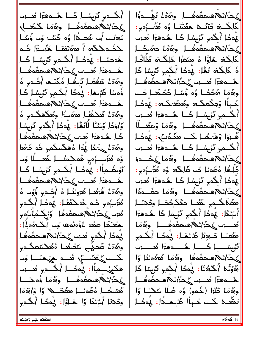أَكُنُونِ تَوْجِئُنَا كَنَا هُنُدُوَّزَا مُحْبَرِت جَدَّاسْلا هِمَعْمُوْسًا وِهُمْهُا كَتَعْطِيلِ كَمَّائَـــا أَــا هُـدَـــاً أَوْهَ كَنْمَــْ; وُتَ وَّمْنَــا لْحَشُّـه لِكُلُّهِ ﴾ مَعْهُنْتَهُمْ لَمُ أَسْتَرَا خُـه ـهُوصمُــا: إِنَّ وَصَــا أَلْحُــوبِر تَرْبِمُــا كَــا هُـــوهُــُ مُـــزب عَــدَّانَــلاً هـمعَهُوهُـــا وِهَٰهَا هَفُعُا يُبِعُا هُكْتُ أُشُعرُ هُ ذُهمُا هُبُـمُا: هُـمَكْا ٱلْكُـمِرِ تُرُبِمُـا كَـا هُـــوشَا مُــــزب حَيْدَ الْكَلَاهِيمِعْوفُـــلِ وِهَٰهَا مَكْحُلًا مِثْمَبُوْا وِمُكْعِكُمِ وُ وَّاوْحُا وَمَتْاْ لَٰائُغَا: يُوحُا ٱلْكُوبِ تَرْبِسُا كَمَا هُـوعَةِ السَّنِينِ حَبَّةُ اسْتَلَاهِيمَوْهُوكُمْ الْمَ وَهَٰهَا ﴾ مَا فَا هُوَ مَسْلَمِهِ هُوَ كَنْهُمْ وَالْمَدْرَ وَّه هُزَّبِ زَهرٍ هُمكْسُل كَعَـــلًا وَٓــ ٱوۡحَقَّــٰٓءِٱمۡا ۚ یَٰٓہَـٰٓئِے الۡہٰدِینِ لَّیۡہِنَّـٰہِ کَـٰہَ وِهَٰٓهَا كَٰٓزُهُـٰـا مُّنۡوِـنُـٰـا ةُ ۖ اُشَـٰءِ ۖ وَۗوَۚب ةُ هُذَٰٓـِ;ُهِۥ ۖ هُـه ـهُـمحكُمُـا: إِهْمَـٰا ٱلْحُـٰهِۥ هُدَبٍ كَجَزَاتِيهِ هُدَهُمْ وَرَجَّكُمُ الْمَرْهِ هِمُنْتُمْلِ هِغُدٍ لِمُؤْهِنُوهِ وَ لَا لَكُلُوهُ وَلَمْ ا لْمَحْطَ أَلْحُمِرِ مُدْمَى كَتَزَامَلَا صَحْفَهِ هَـا وهَٰهۡا هُحکُبُ مَّثۡـٰعُـا ۚ هُکلـُمُعَگُـٰـٰءِ ۖ كَــْمِرْيُمْ شَــْمْ مِنْ مِنْ مِنْ مِنْ مِنْ مِنْ مِنْ فكيْ مُاء في الْمُحْسِرِ مُسْتَوْمًا عَلَيْهِ مِنْ الْمُسْتَوْمَةِ مِنْ الْمُسْتَوْمَةِ مِنْ لَكِمَٰۥُٱلْكُلَاهِيقُوهُكُمَا ۖ وَوَّةُهُمْ ذُوحَنُكُمَا ودْهْلَا أُمُتِنْدَا وَا حُمَارَةًا: يُودُا أَحْدِيبِ

حَدُّ الْكَلَّاهِيمَهُوهُـــا وَهُوْمَا يُوْسِـوُوْا كَلْكُـــةُ ثَانُـــمْ حَكْنُنْــأ وُه مُنْسِـرُه، لْمَحْلَمْ أَبْكُمْ رَبُّهُمْا كُلَّا هُـَدْتَا مُدَت لِحَزَانَكَمْ فَتَعْمَدُهُمَا وَوَّةً مَا حَوَّمَكُمَا كَلِكُة هُلْوْا ةُ مِنْعُوْا كَلِكُـةِ مُلَلْتُـلِ هُ كَلِكُمْ نُقْلَ: يُمكُل أَلْحُمِر نَّرُبِمُل كَل وِهَٰهَا هَٰحُصًا وَٰهِ زَّمُـا كَمُّمُعُـا صُـَـ كَهِلًا وْمِنْعَمْدُ مِ مُعْضَرْجُدِ ﴾ . لمحُدا اْكُـــمبر تَرْبِمُـــا كَـــا هُـــمْعْتَرا مُـــزم يَحَزَّلْتَكَلَّاهِيمَعْمَمُعَلَّا وَهُمْهَا وْهِكْمِسَالَ كَّرْوَا وْهَْتُمَا كُبْ مِكْمُسَى: يُوصُل بَحَزُانَكُمْ صَعْفُوصًا ﴾ وهُ تَمْ لَي هُـصوف كَلّْبُعَا ةُكُمْنَا كُـد كَالْكُلُّه ۚ فَوَ مُلَاجْمِينَ | يُوحُل أَنْكُمِر تَّرْجِسُا كَـا خُـوفَتْرا هُدنت أَمْصَدُ الْمَعْدَمُولَ وَهُمْ الْمَصْدَةُ مَعَمْكُمِ كَعَدا حَنْدْخُصْا وَدْمُـا أَمَّتِكَا: يُمكُل أَلْحُمِر تَّرْبِمُل كَل هُـمَعْتَزَلَ هُـــــز، حَيْدُاتْكَا هِمْهُمْهُـــا وِهُمْ لَــ مفَعْصًا شَهِرًا هُبْتَهْا: إِمَاصًا أَلْكُمْ كَحَزَاتِكَمْ هِمِعَمَوْهَا وَهَمْهُ مَعْوَى مِنَا وَا هَوَيَّمْ أَحْدُثَا: بِهَجَا أَحْمِر تَّرْبِيمَا جَا وِهَٰهَا تَنُزَا (خُومٍ) وَهِ هُلَا سَكْسًا وَا 

بَحْلَفُتُهِ فَهُومٍ وَكَاوُنُكُمْ